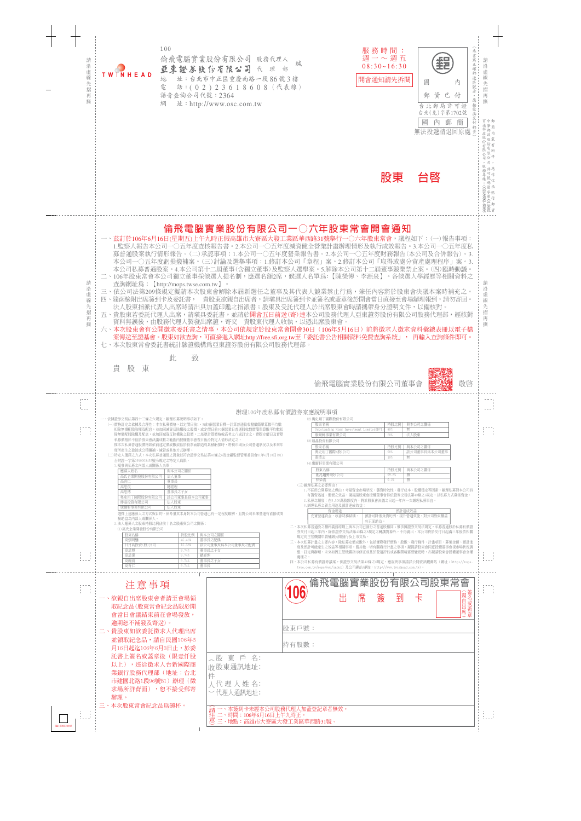

|              | 逾期恕不補發及寄送)。<br>二、貴股東如欲委託徵求人代理出席<br>並領取紀念品,請自民國106年5<br>月16日起汔106年6月3日止,於委                                 | 股東戶號:<br>持有股數:                                                                     |  |
|--------------|-----------------------------------------------------------------------------------------------------------|------------------------------------------------------------------------------------|--|
|              | 託書上簽名或蓋章後(限壹仟股<br>以上),逕洽徵求人台新國際商<br>業銀行股務代理部(地址:台北<br>市建國北路1段96號B1)辦理(徵<br>求場所詳背面), <b>恕不接</b> 受郵寄<br>辦理。 | 〈股 東 戶 名:<br>收股東通訊地址:<br>人代理人姓名:<br>一代理人通訊地址:                                      |  |
| SB1898030903 | 三、本次股東常會紀念品爲碗杯。                                                                                           | 《請一、本簽到卡未經本公司股務代理人加蓋登記章者無效。<br>注: 二、時間:106年6月16日上午九時正。<br>意三、地點:高雄市大寮區大發工業區華西路31號。 |  |